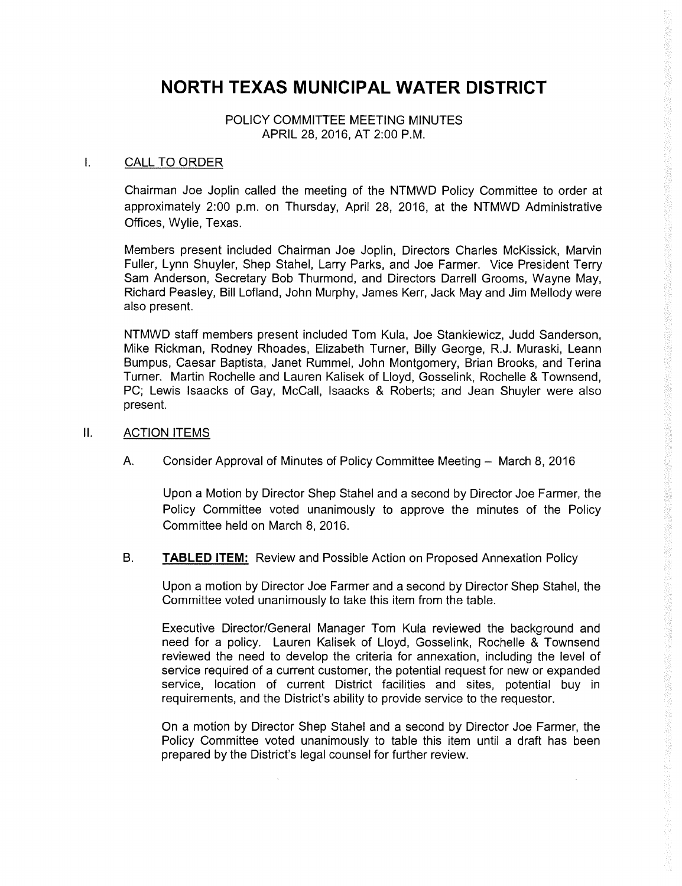## NORTH TEXAS MUNICIPAL WATER DISTRICT

POLICY COMMITTEE MEETING MINUTES APRIL 28, 2016, AT 2:00 P.M.

## $\mathbf{I}$ . CALL TO ORDER

Chairman Joe Joplin called the meeting of the NTMWD Policy Committee to order at approximately 2:00 p.m. on Thursday, April 28, 2016, at the NTMWD Administrative Offices, Wylie, Texas.

Members present included Chairman Joe Joplin, Directors Charles McKissick, Marvin Fuller, Lynn Shuyler, Shep Stahel, Larry Parks, and Joe Farmer. Vice President Terry Sam Anderson, Secretary Bob Thurmond, and Directors Darrell Grooms, Wayne May, Richard Peasley, Bill Lofland, John Murphy, James Kerr, Jack May and Jim Mellody were also present.

NTMWD staff members present included Tom Kula, Joe Stankiewicz, Judd Sanderson, Mike Rickman, Rodney Rhoades, Elizabeth Turner, Billy George, R. J. Muraski, Leann Bumpus, Caesar Baptista, Janet Rummel, John Montgomery, Brian Brooks, and Terina Turner. Martin Rochelle and Lauren Kalisek of Lloyd, Gosselink, Rochelle & Townsend, PC; Lewis Isaacks of Gay, McCall, Isaacks & Roberts; and Jean Shuyler were also present.

## 11. ACTION ITEMS

A. Consider Approval of Minutes of Policy Committee Meeting — March 8, 2016

Upon a Motion by Director Shep Stahel and a second by Director Joe Farmer, the Policy Committee voted unanimously to approve the minutes of the Policy Committee held on March 8, 2016.

B. TABLED ITEM: Review and Possible Action on Proposed Annexation Policy

Upon a motion by Director Joe Farmer and a second by Director Shep Stahel, the Committee voted unanimously to take this item from the table.

Executive Director/General Manager Tom Kula reviewed the background and need for a policy. Lauren Kalisek of Lloyd, Gosselink, Rochelle & Townsend reviewed the need to develop the criteria for annexation, including the level of service required of a current customer, the potential request for new or expanded service, location of current District facilities and sites, potential buy in requirements, and the District's ability to provide service to the requestor.

On a motion by Director Shep Stahel and a second by Director Joe Farmer, the Policy Committee voted unanimously to table this item until a draft has been prepared by the District's legal counsel for further review.